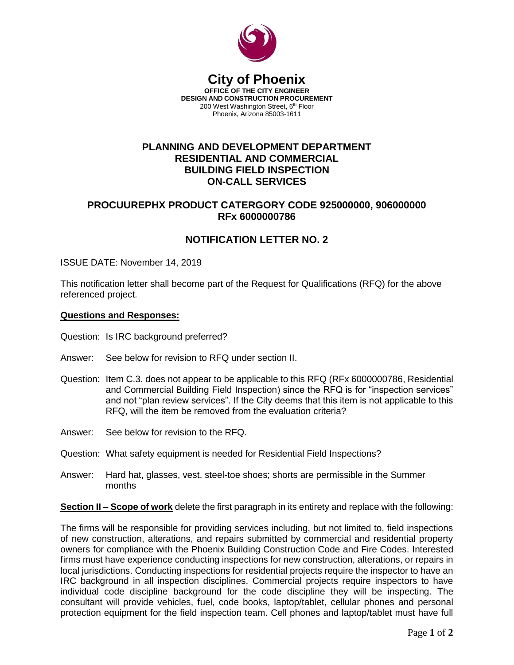

#### **City of Phoenix OFFICE OF THE CITY ENGINEER DESIGN AND CONSTRUCTION PROCUREMENT** 200 West Washington Street, 6<sup>th</sup> Floor Phoenix, Arizona 85003-1611

### **PLANNING AND DEVELOPMENT DEPARTMENT RESIDENTIAL AND COMMERCIAL BUILDING FIELD INSPECTION ON-CALL SERVICES**

## **PROCUUREPHX PRODUCT CATERGORY CODE 925000000, 906000000 RFx 6000000786**

# **NOTIFICATION LETTER NO. 2**

ISSUE DATE: November 14, 2019

This notification letter shall become part of the Request for Qualifications (RFQ) for the above referenced project.

### **Questions and Responses:**

Question: Is IRC background preferred?

- Answer: See below for revision to RFQ under section II.
- Question: Item C.3. does not appear to be applicable to this RFQ (RFx 6000000786, Residential and Commercial Building Field Inspection) since the RFQ is for "inspection services" and not "plan review services". If the City deems that this item is not applicable to this RFQ, will the item be removed from the evaluation criteria?
- Answer: See below for revision to the RFQ.
- Question: What safety equipment is needed for Residential Field Inspections?
- Answer: Hard hat, glasses, vest, steel-toe shoes; shorts are permissible in the Summer months

**Section II – Scope of work** delete the first paragraph in its entirety and replace with the following:

The firms will be responsible for providing services including, but not limited to, field inspections of new construction, alterations, and repairs submitted by commercial and residential property owners for compliance with the Phoenix Building Construction Code and Fire Codes. Interested firms must have experience conducting inspections for new construction, alterations, or repairs in local jurisdictions. Conducting inspections for residential projects require the inspector to have an IRC background in all inspection disciplines. Commercial projects require inspectors to have individual code discipline background for the code discipline they will be inspecting. The consultant will provide vehicles, fuel, code books, laptop/tablet, cellular phones and personal protection equipment for the field inspection team. Cell phones and laptop/tablet must have full